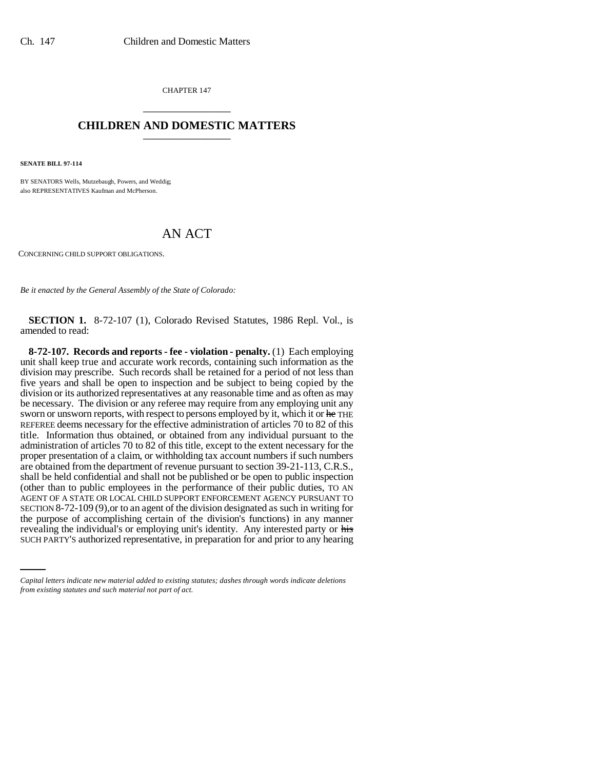CHAPTER 147 \_\_\_\_\_\_\_\_\_\_\_\_\_\_\_

## **CHILDREN AND DOMESTIC MATTERS** \_\_\_\_\_\_\_\_\_\_\_\_\_\_\_

**SENATE BILL 97-114**

BY SENATORS Wells, Mutzebaugh, Powers, and Weddig; also REPRESENTATIVES Kaufman and McPherson.

## AN ACT

CONCERNING CHILD SUPPORT OBLIGATIONS.

*Be it enacted by the General Assembly of the State of Colorado:*

**SECTION 1.** 8-72-107 (1), Colorado Revised Statutes, 1986 Repl. Vol., is amended to read:

the purpose of accomplishing certain of the division's functions) in any manner **8-72-107. Records and reports - fee - violation - penalty.** (1) Each employing unit shall keep true and accurate work records, containing such information as the division may prescribe. Such records shall be retained for a period of not less than five years and shall be open to inspection and be subject to being copied by the division or its authorized representatives at any reasonable time and as often as may be necessary. The division or any referee may require from any employing unit any sworn or unsworn reports, with respect to persons employed by it, which it or he THE REFEREE deems necessary for the effective administration of articles 70 to 82 of this title. Information thus obtained, or obtained from any individual pursuant to the administration of articles 70 to 82 of this title, except to the extent necessary for the proper presentation of a claim, or withholding tax account numbers if such numbers are obtained from the department of revenue pursuant to section 39-21-113, C.R.S., shall be held confidential and shall not be published or be open to public inspection (other than to public employees in the performance of their public duties, TO AN AGENT OF A STATE OR LOCAL CHILD SUPPORT ENFORCEMENT AGENCY PURSUANT TO SECTION 8-72-109 (9),or to an agent of the division designated as such in writing for revealing the individual's or employing unit's identity. Any interested party or his SUCH PARTY'S authorized representative, in preparation for and prior to any hearing

*Capital letters indicate new material added to existing statutes; dashes through words indicate deletions from existing statutes and such material not part of act.*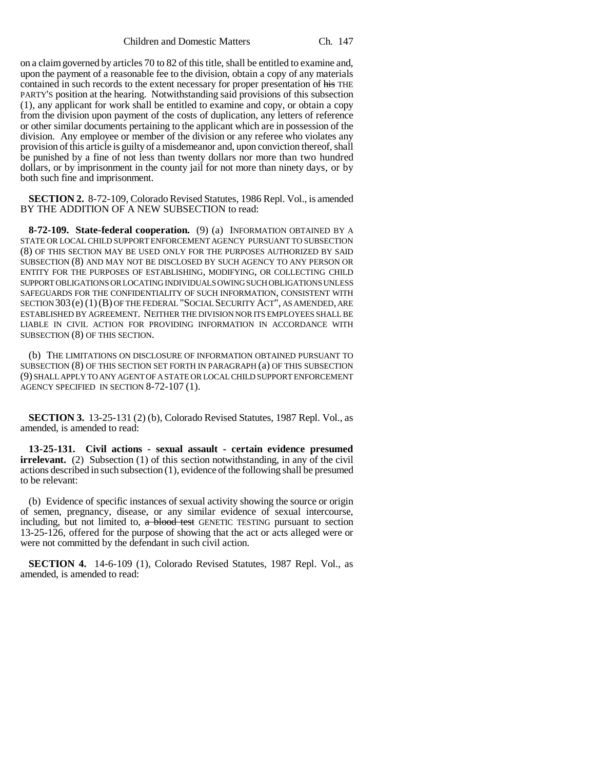on a claim governed by articles 70 to 82 of this title, shall be entitled to examine and, upon the payment of a reasonable fee to the division, obtain a copy of any materials contained in such records to the extent necessary for proper presentation of his THE PARTY'S position at the hearing. Notwithstanding said provisions of this subsection (1), any applicant for work shall be entitled to examine and copy, or obtain a copy from the division upon payment of the costs of duplication, any letters of reference or other similar documents pertaining to the applicant which are in possession of the division. Any employee or member of the division or any referee who violates any provision of this article is guilty of a misdemeanor and, upon conviction thereof, shall be punished by a fine of not less than twenty dollars nor more than two hundred dollars, or by imprisonment in the county jail for not more than ninety days, or by both such fine and imprisonment.

**SECTION 2.** 8-72-109, Colorado Revised Statutes, 1986 Repl. Vol., is amended BY THE ADDITION OF A NEW SUBSECTION to read:

**8-72-109. State-federal cooperation.** (9) (a) INFORMATION OBTAINED BY A STATE OR LOCAL CHILD SUPPORT ENFORCEMENT AGENCY PURSUANT TO SUBSECTION (8) OF THIS SECTION MAY BE USED ONLY FOR THE PURPOSES AUTHORIZED BY SAID SUBSECTION (8) AND MAY NOT BE DISCLOSED BY SUCH AGENCY TO ANY PERSON OR ENTITY FOR THE PURPOSES OF ESTABLISHING, MODIFYING, OR COLLECTING CHILD SUPPORT OBLIGATIONS OR LOCATING INDIVIDUALS OWING SUCH OBLIGATIONS UNLESS SAFEGUARDS FOR THE CONFIDENTIALITY OF SUCH INFORMATION, CONSISTENT WITH SECTION 303(e) (1)(B) OF THE FEDERAL "SOCIAL SECURITY ACT", AS AMENDED, ARE ESTABLISHED BY AGREEMENT. NEITHER THE DIVISION NOR ITS EMPLOYEES SHALL BE LIABLE IN CIVIL ACTION FOR PROVIDING INFORMATION IN ACCORDANCE WITH SUBSECTION (8) OF THIS SECTION.

(b) THE LIMITATIONS ON DISCLOSURE OF INFORMATION OBTAINED PURSUANT TO SUBSECTION (8) OF THIS SECTION SET FORTH IN PARAGRAPH (a) OF THIS SUBSECTION (9) SHALL APPLY TO ANY AGENT OF A STATE OR LOCAL CHILD SUPPORT ENFORCEMENT AGENCY SPECIFIED IN SECTION 8-72-107 (1).

**SECTION 3.** 13-25-131 (2) (b), Colorado Revised Statutes, 1987 Repl. Vol., as amended, is amended to read:

**13-25-131. Civil actions - sexual assault - certain evidence presumed irrelevant.** (2) Subsection (1) of this section notwithstanding, in any of the civil actions described in such subsection (1), evidence of the following shall be presumed to be relevant:

(b) Evidence of specific instances of sexual activity showing the source or origin of semen, pregnancy, disease, or any similar evidence of sexual intercourse, including, but not limited to, a blood test GENETIC TESTING pursuant to section 13-25-126, offered for the purpose of showing that the act or acts alleged were or were not committed by the defendant in such civil action.

**SECTION 4.** 14-6-109 (1), Colorado Revised Statutes, 1987 Repl. Vol., as amended, is amended to read: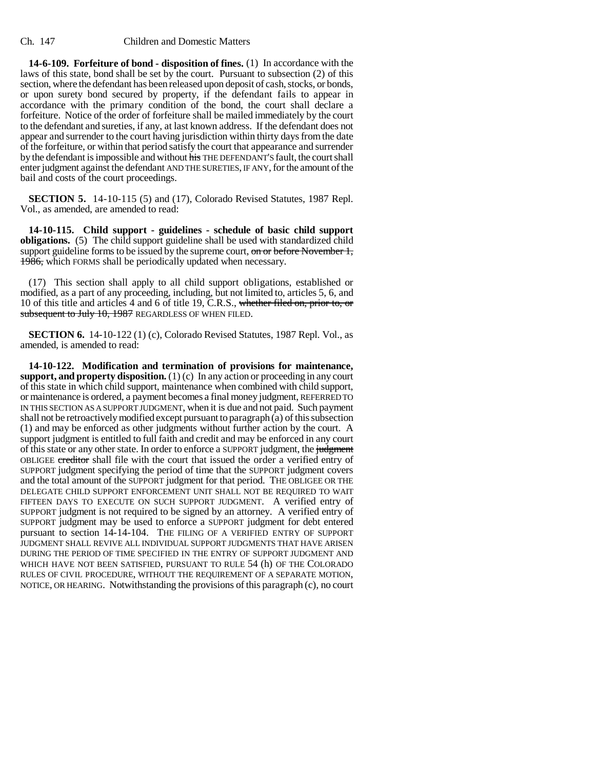**14-6-109. Forfeiture of bond - disposition of fines.** (1) In accordance with the laws of this state, bond shall be set by the court. Pursuant to subsection (2) of this section, where the defendant has been released upon deposit of cash, stocks, or bonds, or upon surety bond secured by property, if the defendant fails to appear in accordance with the primary condition of the bond, the court shall declare a forfeiture. Notice of the order of forfeiture shall be mailed immediately by the court to the defendant and sureties, if any, at last known address. If the defendant does not appear and surrender to the court having jurisdiction within thirty days from the date of the forfeiture, or within that period satisfy the court that appearance and surrender by the defendant is impossible and without his THE DEFENDANT'S fault, the court shall enter judgment against the defendant AND THE SURETIES, IF ANY, for the amount of the bail and costs of the court proceedings.

**SECTION 5.** 14-10-115 (5) and (17), Colorado Revised Statutes, 1987 Repl. Vol., as amended, are amended to read:

**14-10-115. Child support - guidelines - schedule of basic child support obligations.** (5) The child support guideline shall be used with standardized child support guideline forms to be issued by the supreme court, on or before November 1, 1986, which FORMS shall be periodically updated when necessary.

(17) This section shall apply to all child support obligations, established or modified, as a part of any proceeding, including, but not limited to, articles 5, 6, and 10 of this title and articles 4 and 6 of title 19, C.R.S., whether filed on, prior to, or subsequent to July 10, 1987 REGARDLESS OF WHEN FILED.

**SECTION 6.** 14-10-122 (1) (c), Colorado Revised Statutes, 1987 Repl. Vol., as amended, is amended to read:

**14-10-122. Modification and termination of provisions for maintenance, support, and property disposition.** (1) (c) In any action or proceeding in any court of this state in which child support, maintenance when combined with child support, or maintenance is ordered, a payment becomes a final money judgment, REFERRED TO IN THIS SECTION AS A SUPPORT JUDGMENT, when it is due and not paid. Such payment shall not be retroactively modified except pursuant to paragraph (a) of this subsection (1) and may be enforced as other judgments without further action by the court. A support judgment is entitled to full faith and credit and may be enforced in any court of this state or any other state. In order to enforce a SUPPORT judgment, the judgment OBLIGEE creditor shall file with the court that issued the order a verified entry of SUPPORT judgment specifying the period of time that the SUPPORT judgment covers and the total amount of the SUPPORT judgment for that period. THE OBLIGEE OR THE DELEGATE CHILD SUPPORT ENFORCEMENT UNIT SHALL NOT BE REQUIRED TO WAIT FIFTEEN DAYS TO EXECUTE ON SUCH SUPPORT JUDGMENT. A verified entry of SUPPORT judgment is not required to be signed by an attorney. A verified entry of SUPPORT judgment may be used to enforce a SUPPORT judgment for debt entered pursuant to section 14-14-104. THE FILING OF A VERIFIED ENTRY OF SUPPORT JUDGMENT SHALL REVIVE ALL INDIVIDUAL SUPPORT JUDGMENTS THAT HAVE ARISEN DURING THE PERIOD OF TIME SPECIFIED IN THE ENTRY OF SUPPORT JUDGMENT AND WHICH HAVE NOT BEEN SATISFIED, PURSUANT TO RULE 54 (h) OF THE COLORADO RULES OF CIVIL PROCEDURE, WITHOUT THE REQUIREMENT OF A SEPARATE MOTION, NOTICE, OR HEARING. Notwithstanding the provisions of this paragraph (c), no court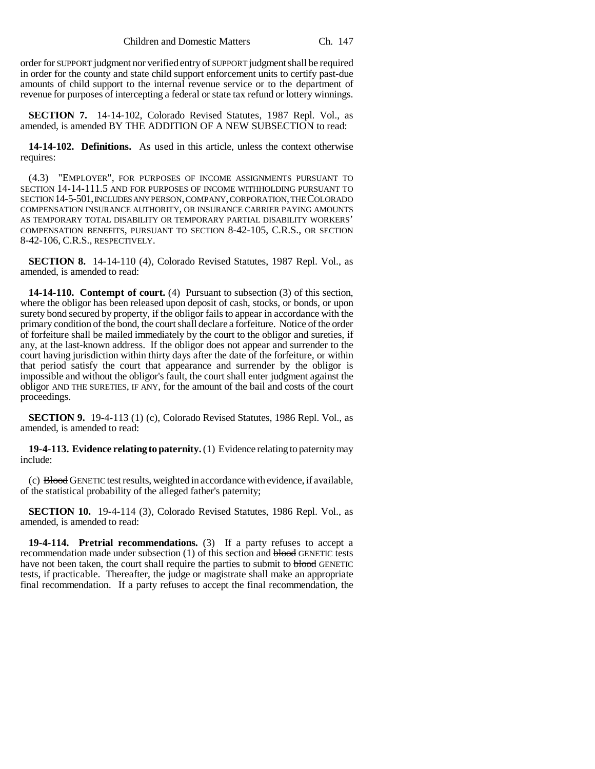order for SUPPORT judgment nor verified entry of SUPPORT judgment shall be required in order for the county and state child support enforcement units to certify past-due amounts of child support to the internal revenue service or to the department of revenue for purposes of intercepting a federal or state tax refund or lottery winnings.

**SECTION 7.** 14-14-102, Colorado Revised Statutes, 1987 Repl. Vol., as amended, is amended BY THE ADDITION OF A NEW SUBSECTION to read:

**14-14-102. Definitions.** As used in this article, unless the context otherwise requires:

(4.3) "EMPLOYER", FOR PURPOSES OF INCOME ASSIGNMENTS PURSUANT TO SECTION 14-14-111.5 AND FOR PURPOSES OF INCOME WITHHOLDING PURSUANT TO SECTION 14-5-501, INCLUDES ANY PERSON, COMPANY, CORPORATION, THE COLORADO COMPENSATION INSURANCE AUTHORITY, OR INSURANCE CARRIER PAYING AMOUNTS AS TEMPORARY TOTAL DISABILITY OR TEMPORARY PARTIAL DISABILITY WORKERS' COMPENSATION BENEFITS, PURSUANT TO SECTION 8-42-105, C.R.S., OR SECTION 8-42-106, C.R.S., RESPECTIVELY.

**SECTION 8.** 14-14-110 (4), Colorado Revised Statutes, 1987 Repl. Vol., as amended, is amended to read:

**14-14-110. Contempt of court.** (4) Pursuant to subsection (3) of this section, where the obligor has been released upon deposit of cash, stocks, or bonds, or upon surety bond secured by property, if the obligor fails to appear in accordance with the primary condition of the bond, the court shall declare a forfeiture. Notice of the order of forfeiture shall be mailed immediately by the court to the obligor and sureties, if any, at the last-known address. If the obligor does not appear and surrender to the court having jurisdiction within thirty days after the date of the forfeiture, or within that period satisfy the court that appearance and surrender by the obligor is impossible and without the obligor's fault, the court shall enter judgment against the obligor AND THE SURETIES, IF ANY, for the amount of the bail and costs of the court proceedings.

**SECTION 9.** 19-4-113 (1) (c), Colorado Revised Statutes, 1986 Repl. Vol., as amended, is amended to read:

**19-4-113. Evidence relating to paternity.** (1) Evidence relating to paternity may include:

(c) Blood GENETIC test results, weighted in accordance with evidence, if available, of the statistical probability of the alleged father's paternity;

**SECTION 10.** 19-4-114 (3), Colorado Revised Statutes, 1986 Repl. Vol., as amended, is amended to read:

**19-4-114. Pretrial recommendations.** (3) If a party refuses to accept a recommendation made under subsection (1) of this section and blood GENETIC tests have not been taken, the court shall require the parties to submit to blood GENETIC tests, if practicable. Thereafter, the judge or magistrate shall make an appropriate final recommendation. If a party refuses to accept the final recommendation, the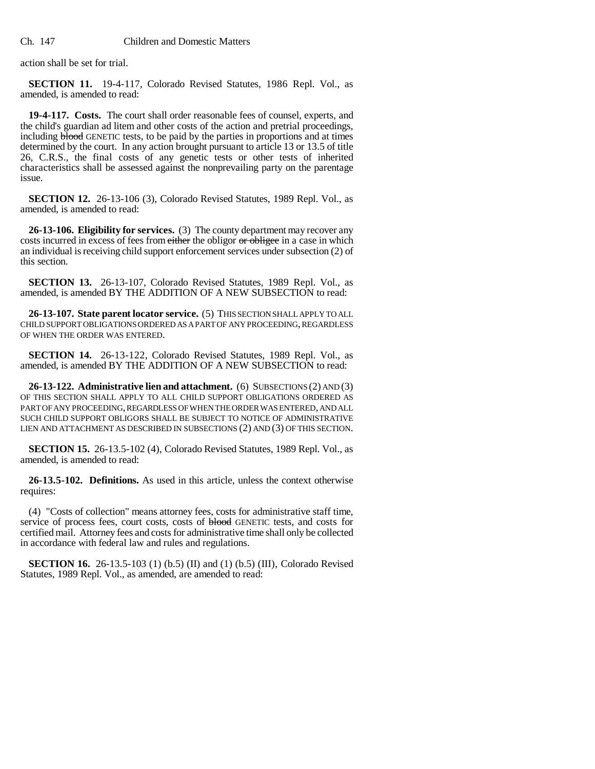action shall be set for trial.

**SECTION 11.** 19-4-117, Colorado Revised Statutes, 1986 Repl. Vol., as amended, is amended to read:

**19-4-117. Costs.** The court shall order reasonable fees of counsel, experts, and the child's guardian ad litem and other costs of the action and pretrial proceedings, including **blood** GENETIC tests, to be paid by the parties in proportions and at times determined by the court. In any action brought pursuant to article 13 or 13.5 of title 26, C.R.S., the final costs of any genetic tests or other tests of inherited characteristics shall be assessed against the nonprevailing party on the parentage issue.

**SECTION 12.** 26-13-106 (3), Colorado Revised Statutes, 1989 Repl. Vol., as amended, is amended to read:

**26-13-106. Eligibility for services.** (3) The county department may recover any costs incurred in excess of fees from either the obligor or obligee in a case in which an individual is receiving child support enforcement services under subsection (2) of this section.

**SECTION 13.** 26-13-107, Colorado Revised Statutes, 1989 Repl. Vol., as amended, is amended BY THE ADDITION OF A NEW SUBSECTION to read:

**26-13-107. State parent locator service.** (5) THIS SECTION SHALL APPLY TO ALL CHILD SUPPORT OBLIGATIONS ORDERED AS A PART OF ANY PROCEEDING, REGARDLESS OF WHEN THE ORDER WAS ENTERED.

**SECTION 14.** 26-13-122, Colorado Revised Statutes, 1989 Repl. Vol., as amended, is amended BY THE ADDITION OF A NEW SUBSECTION to read:

**26-13-122. Administrative lien and attachment.** (6) SUBSECTIONS (2) AND (3) OF THIS SECTION SHALL APPLY TO ALL CHILD SUPPORT OBLIGATIONS ORDERED AS PART OF ANY PROCEEDING, REGARDLESS OF WHEN THE ORDER WAS ENTERED, AND ALL SUCH CHILD SUPPORT OBLIGORS SHALL BE SUBJECT TO NOTICE OF ADMINISTRATIVE LIEN AND ATTACHMENT AS DESCRIBED IN SUBSECTIONS (2) AND (3) OF THIS SECTION.

**SECTION 15.** 26-13.5-102 (4), Colorado Revised Statutes, 1989 Repl. Vol., as amended, is amended to read:

**26-13.5-102. Definitions.** As used in this article, unless the context otherwise requires:

(4) "Costs of collection" means attorney fees, costs for administrative staff time, service of process fees, court costs, costs of **blood** GENETIC tests, and costs for certified mail. Attorney fees and costs for administrative time shall only be collected in accordance with federal law and rules and regulations.

**SECTION 16.** 26-13.5-103 (1) (b.5) (II) and (1) (b.5) (III), Colorado Revised Statutes, 1989 Repl. Vol., as amended, are amended to read: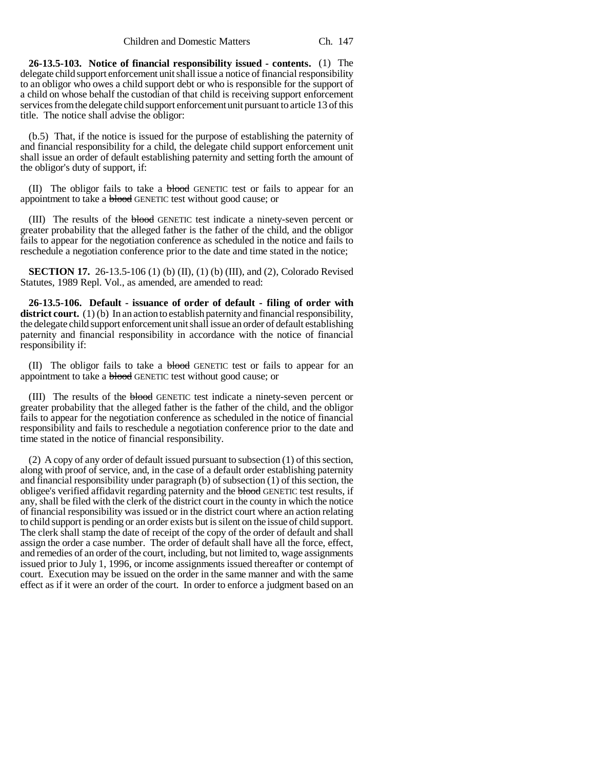**26-13.5-103. Notice of financial responsibility issued - contents.** (1) The delegate child support enforcement unit shall issue a notice of financial responsibility to an obligor who owes a child support debt or who is responsible for the support of a child on whose behalf the custodian of that child is receiving support enforcement services from the delegate child support enforcement unit pursuant to article 13 of this title. The notice shall advise the obligor:

(b.5) That, if the notice is issued for the purpose of establishing the paternity of and financial responsibility for a child, the delegate child support enforcement unit shall issue an order of default establishing paternity and setting forth the amount of the obligor's duty of support, if:

(II) The obligor fails to take a blood GENETIC test or fails to appear for an appointment to take a **blood** GENETIC test without good cause; or

(III) The results of the blood GENETIC test indicate a ninety-seven percent or greater probability that the alleged father is the father of the child, and the obligor fails to appear for the negotiation conference as scheduled in the notice and fails to reschedule a negotiation conference prior to the date and time stated in the notice;

**SECTION 17.** 26-13.5-106 (1) (b) (II), (1) (b) (III), and (2), Colorado Revised Statutes, 1989 Repl. Vol., as amended, are amended to read:

**26-13.5-106. Default - issuance of order of default - filing of order with** district court. (1) (b) In an action to establish paternity and financial responsibility, the delegate child support enforcement unit shall issue an order of default establishing paternity and financial responsibility in accordance with the notice of financial responsibility if:

(II) The obligor fails to take a blood GENETIC test or fails to appear for an appointment to take a blood GENETIC test without good cause; or

(III) The results of the blood GENETIC test indicate a ninety-seven percent or greater probability that the alleged father is the father of the child, and the obligor fails to appear for the negotiation conference as scheduled in the notice of financial responsibility and fails to reschedule a negotiation conference prior to the date and time stated in the notice of financial responsibility.

(2) A copy of any order of default issued pursuant to subsection (1) of this section, along with proof of service, and, in the case of a default order establishing paternity and financial responsibility under paragraph (b) of subsection (1) of this section, the obligee's verified affidavit regarding paternity and the **blood** GENETIC test results, if any, shall be filed with the clerk of the district court in the county in which the notice of financial responsibility was issued or in the district court where an action relating to child support is pending or an order exists but is silent on the issue of child support. The clerk shall stamp the date of receipt of the copy of the order of default and shall assign the order a case number. The order of default shall have all the force, effect, and remedies of an order of the court, including, but not limited to, wage assignments issued prior to July 1, 1996, or income assignments issued thereafter or contempt of court. Execution may be issued on the order in the same manner and with the same effect as if it were an order of the court. In order to enforce a judgment based on an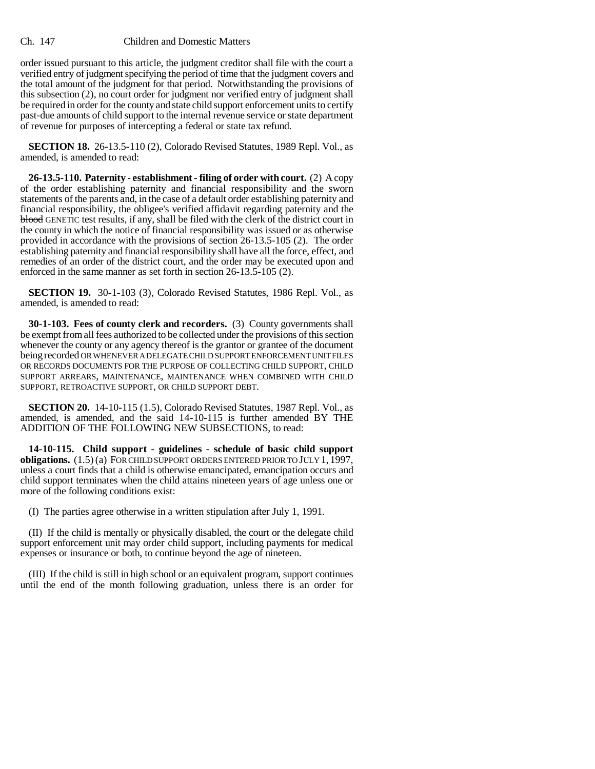## Ch. 147 Children and Domestic Matters

order issued pursuant to this article, the judgment creditor shall file with the court a verified entry of judgment specifying the period of time that the judgment covers and the total amount of the judgment for that period. Notwithstanding the provisions of this subsection (2), no court order for judgment nor verified entry of judgment shall be required in order for the county and state child support enforcement units to certify past-due amounts of child support to the internal revenue service or state department of revenue for purposes of intercepting a federal or state tax refund.

**SECTION 18.** 26-13.5-110 (2), Colorado Revised Statutes, 1989 Repl. Vol., as amended, is amended to read:

**26-13.5-110. Paternity - establishment - filing of order with court.** (2) A copy of the order establishing paternity and financial responsibility and the sworn statements of the parents and, in the case of a default order establishing paternity and financial responsibility, the obligee's verified affidavit regarding paternity and the blood GENETIC test results, if any, shall be filed with the clerk of the district court in the county in which the notice of financial responsibility was issued or as otherwise provided in accordance with the provisions of section 26-13.5-105 (2). The order establishing paternity and financial responsibility shall have all the force, effect, and remedies of an order of the district court, and the order may be executed upon and enforced in the same manner as set forth in section 26-13.5-105 (2).

**SECTION 19.** 30-1-103 (3), Colorado Revised Statutes, 1986 Repl. Vol., as amended, is amended to read:

**30-1-103. Fees of county clerk and recorders.** (3) County governments shall be exempt from all fees authorized to be collected under the provisions of this section whenever the county or any agency thereof is the grantor or grantee of the document being recorded OR WHENEVER A DELEGATE CHILD SUPPORT ENFORCEMENT UNIT FILES OR RECORDS DOCUMENTS FOR THE PURPOSE OF COLLECTING CHILD SUPPORT, CHILD SUPPORT ARREARS, MAINTENANCE, MAINTENANCE WHEN COMBINED WITH CHILD SUPPORT, RETROACTIVE SUPPORT, OR CHILD SUPPORT DEBT.

**SECTION 20.** 14-10-115 (1.5), Colorado Revised Statutes, 1987 Repl. Vol., as amended, is amended, and the said 14-10-115 is further amended BY THE ADDITION OF THE FOLLOWING NEW SUBSECTIONS, to read:

**14-10-115. Child support - guidelines - schedule of basic child support obligations.** (1.5) (a) FOR CHILD SUPPORT ORDERS ENTERED PRIOR TO JULY 1, 1997, unless a court finds that a child is otherwise emancipated, emancipation occurs and child support terminates when the child attains nineteen years of age unless one or more of the following conditions exist:

(I) The parties agree otherwise in a written stipulation after July 1, 1991.

(II) If the child is mentally or physically disabled, the court or the delegate child support enforcement unit may order child support, including payments for medical expenses or insurance or both, to continue beyond the age of nineteen.

(III) If the child is still in high school or an equivalent program, support continues until the end of the month following graduation, unless there is an order for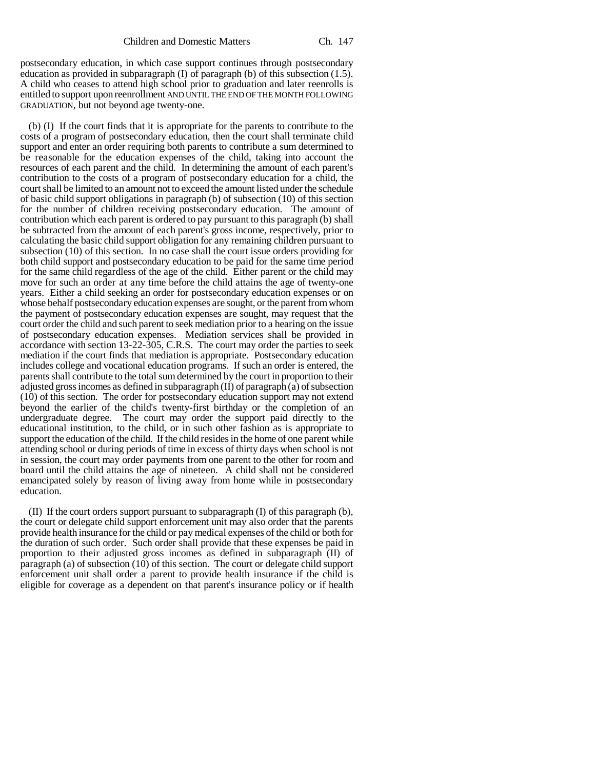postsecondary education, in which case support continues through postsecondary education as provided in subparagraph (I) of paragraph (b) of this subsection (1.5). A child who ceases to attend high school prior to graduation and later reenrolls is entitled to support upon reenrollment AND UNTIL THE END OF THE MONTH FOLLOWING GRADUATION, but not beyond age twenty-one.

(b) (I) If the court finds that it is appropriate for the parents to contribute to the costs of a program of postsecondary education, then the court shall terminate child support and enter an order requiring both parents to contribute a sum determined to be reasonable for the education expenses of the child, taking into account the resources of each parent and the child. In determining the amount of each parent's contribution to the costs of a program of postsecondary education for a child, the court shall be limited to an amount not to exceed the amount listed under the schedule of basic child support obligations in paragraph (b) of subsection (10) of this section for the number of children receiving postsecondary education. The amount of contribution which each parent is ordered to pay pursuant to this paragraph (b) shall be subtracted from the amount of each parent's gross income, respectively, prior to calculating the basic child support obligation for any remaining children pursuant to subsection (10) of this section. In no case shall the court issue orders providing for both child support and postsecondary education to be paid for the same time period for the same child regardless of the age of the child. Either parent or the child may move for such an order at any time before the child attains the age of twenty-one years. Either a child seeking an order for postsecondary education expenses or on whose behalf postsecondary education expenses are sought, or the parent from whom the payment of postsecondary education expenses are sought, may request that the court order the child and such parent to seek mediation prior to a hearing on the issue of postsecondary education expenses. Mediation services shall be provided in accordance with section 13-22-305, C.R.S. The court may order the parties to seek mediation if the court finds that mediation is appropriate. Postsecondary education includes college and vocational education programs. If such an order is entered, the parents shall contribute to the total sum determined by the court in proportion to their adjusted gross incomes as defined in subparagraph (II) of paragraph (a) of subsection (10) of this section. The order for postsecondary education support may not extend beyond the earlier of the child's twenty-first birthday or the completion of an undergraduate degree. The court may order the support paid directly to the educational institution, to the child, or in such other fashion as is appropriate to support the education of the child. If the child resides in the home of one parent while attending school or during periods of time in excess of thirty days when school is not in session, the court may order payments from one parent to the other for room and board until the child attains the age of nineteen. A child shall not be considered emancipated solely by reason of living away from home while in postsecondary education.

(II) If the court orders support pursuant to subparagraph (I) of this paragraph (b), the court or delegate child support enforcement unit may also order that the parents provide health insurance for the child or pay medical expenses of the child or both for the duration of such order. Such order shall provide that these expenses be paid in proportion to their adjusted gross incomes as defined in subparagraph (II) of paragraph (a) of subsection (10) of this section. The court or delegate child support enforcement unit shall order a parent to provide health insurance if the child is eligible for coverage as a dependent on that parent's insurance policy or if health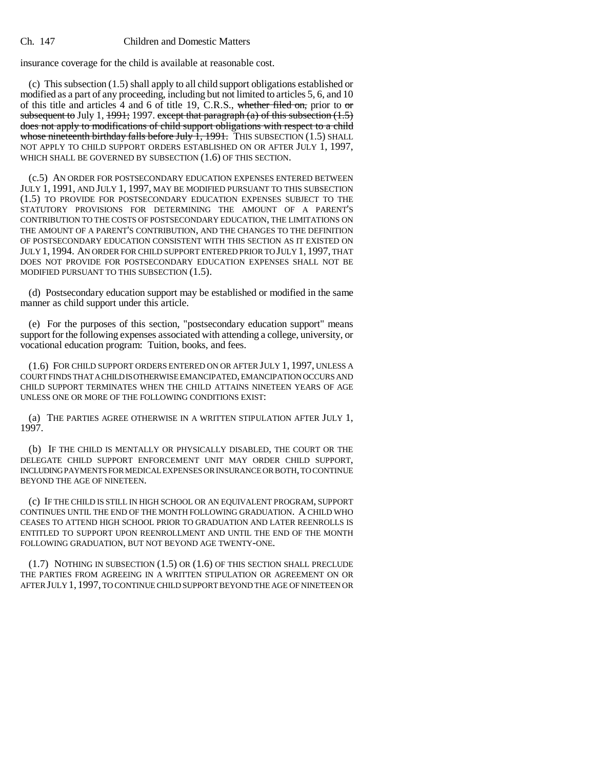## Ch. 147 Children and Domestic Matters

insurance coverage for the child is available at reasonable cost.

(c) This subsection (1.5) shall apply to all child support obligations established or modified as a part of any proceeding, including but not limited to articles 5, 6, and 10 of this title and articles 4 and 6 of title 19, C.R.S., whether filed on, prior to or subsequent to July 1,  $1991$ ; 1997. except that paragraph (a) of this subsection (1.5) does not apply to modifications of child support obligations with respect to a child whose nineteenth birthday falls before July  $\overline{1}$ , 1991. THIS SUBSECTION (1.5) SHALL NOT APPLY TO CHILD SUPPORT ORDERS ESTABLISHED ON OR AFTER JULY 1, 1997, WHICH SHALL BE GOVERNED BY SUBSECTION  $(1.6)$  OF THIS SECTION.

(c.5) AN ORDER FOR POSTSECONDARY EDUCATION EXPENSES ENTERED BETWEEN JULY 1, 1991, AND JULY 1, 1997, MAY BE MODIFIED PURSUANT TO THIS SUBSECTION (1.5) TO PROVIDE FOR POSTSECONDARY EDUCATION EXPENSES SUBJECT TO THE STATUTORY PROVISIONS FOR DETERMINING THE AMOUNT OF A PARENT'S CONTRIBUTION TO THE COSTS OF POSTSECONDARY EDUCATION, THE LIMITATIONS ON THE AMOUNT OF A PARENT'S CONTRIBUTION, AND THE CHANGES TO THE DEFINITION OF POSTSECONDARY EDUCATION CONSISTENT WITH THIS SECTION AS IT EXISTED ON JULY 1, 1994. AN ORDER FOR CHILD SUPPORT ENTERED PRIOR TO JULY 1, 1997, THAT DOES NOT PROVIDE FOR POSTSECONDARY EDUCATION EXPENSES SHALL NOT BE MODIFIED PURSUANT TO THIS SUBSECTION (1.5).

(d) Postsecondary education support may be established or modified in the same manner as child support under this article.

(e) For the purposes of this section, "postsecondary education support" means support for the following expenses associated with attending a college, university, or vocational education program: Tuition, books, and fees.

(1.6) FOR CHILD SUPPORT ORDERS ENTERED ON OR AFTER JULY 1, 1997, UNLESS A COURT FINDS THAT A CHILD IS OTHERWISE EMANCIPATED, EMANCIPATION OCCURS AND CHILD SUPPORT TERMINATES WHEN THE CHILD ATTAINS NINETEEN YEARS OF AGE UNLESS ONE OR MORE OF THE FOLLOWING CONDITIONS EXIST:

(a) THE PARTIES AGREE OTHERWISE IN A WRITTEN STIPULATION AFTER JULY 1, 1997.

(b) IF THE CHILD IS MENTALLY OR PHYSICALLY DISABLED, THE COURT OR THE DELEGATE CHILD SUPPORT ENFORCEMENT UNIT MAY ORDER CHILD SUPPORT, INCLUDING PAYMENTS FOR MEDICAL EXPENSES OR INSURANCE OR BOTH, TO CONTINUE BEYOND THE AGE OF NINETEEN.

(c) IF THE CHILD IS STILL IN HIGH SCHOOL OR AN EQUIVALENT PROGRAM, SUPPORT CONTINUES UNTIL THE END OF THE MONTH FOLLOWING GRADUATION. A CHILD WHO CEASES TO ATTEND HIGH SCHOOL PRIOR TO GRADUATION AND LATER REENROLLS IS ENTITLED TO SUPPORT UPON REENROLLMENT AND UNTIL THE END OF THE MONTH FOLLOWING GRADUATION, BUT NOT BEYOND AGE TWENTY-ONE.

(1.7) NOTHING IN SUBSECTION (1.5) OR (1.6) OF THIS SECTION SHALL PRECLUDE THE PARTIES FROM AGREEING IN A WRITTEN STIPULATION OR AGREEMENT ON OR AFTER JULY 1, 1997, TO CONTINUE CHILD SUPPORT BEYOND THE AGE OF NINETEEN OR